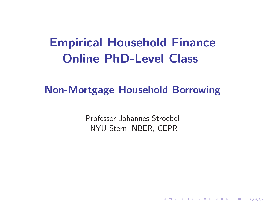# **Empirical Household FinanceOnline PhD-Level Class**

# **Non-Mortgage Household Borrowing**

Professor Johannes Stroebel NYU Stern, NBER, CEPR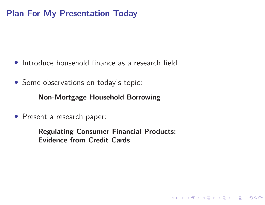### **Plan For My Presentation Today**

- Introduce household finance as <sup>a</sup> research field
- Some observations on today's topic:

**Non-Mortgage Household Borrowing**

• Present <sup>a</sup> research paper:

**Regulating Consumer Financial Products:Evidence from Credit Cards**

**Kロト K団 K K ミト K ミト / ミー のQ C\***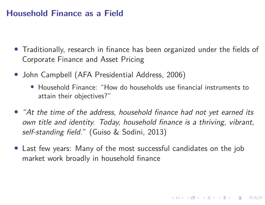### **Household Finance as <sup>a</sup> Field**

- Traditionally, research in finance has been organized under the fields of Corporate Finance and Asset Pricing
- John Campbell (AFA Presidential Address, 2006)
	- Household Finance: "How do households use financial instruments toattain their objectives?"
- "At the time of the address, household finance had not yet earned its own title and identity. Today, household finance is <sup>a</sup> thriving, vibrant, self-standing field." (Guiso & Sodini, 2013)
- Last few years: Many of the most successful candidates on the jobmarket work broadly in household finance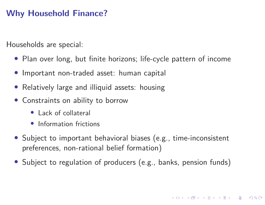### **Why Household Finance?**

Households are special:

- Plan over long, but finite horizons; life-cycle pattern of income
- Important non-traded asset: human capital
- •Relatively large and illiquid assets: housing
- Constraints on ability to borrow
	- Lack of collateral
	- Information frictions
- Subject to important behavioral biases (e.g., time-inconsistent preferences, non-rational belief formation)
- Subject to regulation of producers (e.g., banks, pension funds)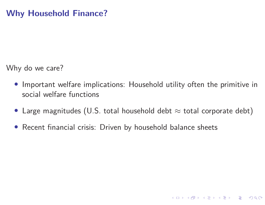Why do we care?

- $\bullet$  Important welfare implications: Household utility often the primitive insocial welfare functions
- $\bullet\,$  Large magnitudes (U.S. total household debt  $\approx$  total corporate debt)

**KO ▶ K @ ▶ K D ▶ K D ▶ │ D │ ◆ 9 Q ( )** 

• Recent financial crisis: Driven by household balance sheets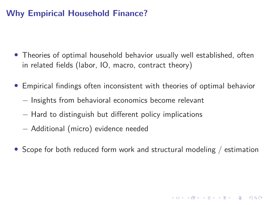### **Why Empirical Household Finance?**

- Theories of optimal household behavior usually well established, oftenin related fields (labor, IO, macro, contract theory)
- Empirical findings often inconsistent with theories of optimal behavior
	- $-$  Insights from behavioral economics become relevant
	- $-$  Hard to distinguish but different policy implications
	- Additional (micro) evidence needed
- Scope for both reduced form work and structural modeling / estimation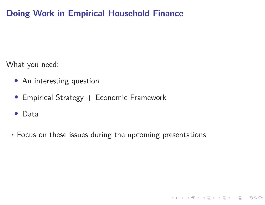# **Doing Work in Empirical Household Finance**

What you need:

- An interesting question
- $\bullet\,$  Empirical Strategy  $+$  Economic Framework
- Data
- $\rightarrow$  Focus on these issues during the upcoming presentations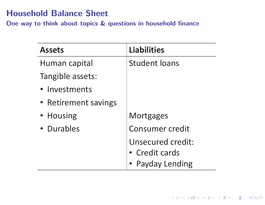## **Household Balance Sheet**

**One way to think about topics & questions in household finance**

| <b>Assets</b>        | <b>Liabilities</b>     |
|----------------------|------------------------|
| Human capital        | <b>Student loans</b>   |
| Tangible assets:     |                        |
| • Investments        |                        |
| • Retirement savings |                        |
| • Housing            | <b>Mortgages</b>       |
| • Durables           | <b>Consumer credit</b> |
|                      | Unsecured credit:      |
|                      | • Credit cards         |
|                      | • Payday Lending       |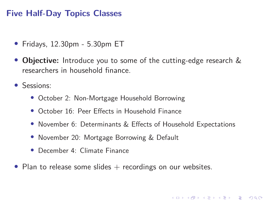### **Five Half-Day Topics Classes**

- Fridays, 12.30pm 5.30pm ET
- • **Objective:** Introduce you to some of the cutting-edge research &researchers in household finance.
- Sessions:
	- October 2: Non-Mortgage Household Borrowing
	- October 16: Peer Effects in Household Finance
	- November 6: Determinants & Effects of Household Expectations
	- November 20: Mortgage Borrowing & Default
	- December 4: Climate Finance
- Plan to release some slides  $+$  recordings on our websites.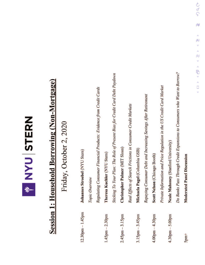

# **Session 1: Household Borrowing (Non-Mortgage)**

Friday, October 2, 2020

| $12.30$ pm $-1.45$ pm             | Johannes Stroebel (NYU Stern)                                                |
|-----------------------------------|------------------------------------------------------------------------------|
|                                   | Topic Overview                                                               |
|                                   | Regulating Consumer Financial Products: Evidence from Credit Cards           |
| $1.45$ pm $-2.30$ pm              | Theresa Kuchler (NYU Stern)                                                  |
|                                   | Sticking To Your Plan: The Role of Present Bias for Credit Card Debt Paydown |
| $2.45$ pm $-3.15$ pm              | Christopher Palmer (MIT Sloan)                                               |
|                                   | Real Effects of Search Frictions in Consumer Credit Markets                  |
| $3.15$ pm $-3.45$ pm              | Michaela Pagel (Columbia GSB)                                                |
|                                   | Repaying Consumer Debt and Increasing Savings After Retirement               |
| $4.00$ pm $-4.30$ pm              | Scott Nelson (Chicago Booth)                                                 |
|                                   | Private Information and Price Regulation in the US Credit Card Market        |
| $4.30 \text{pm} - 5.00 \text{pm}$ | Neale Mahoney (Stanford University)                                          |
|                                   | Do Banks Pass Through Credit Expansions to Consumers who Want to Borrow?     |
| 5pm1                              | <b>Moderated Panel Discussion</b>                                            |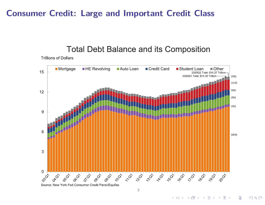### **Consumer Credit: Large and Important Credit Class**

### Total Debt Balance and its Composition

**Trillions of Dollars** 



Source: New York Fed Consumer Credit Panel/Equifax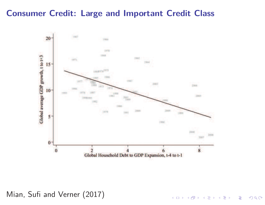### **Consumer Credit: Large and Important Credit Class**



Mian, Sufi and Verner (2017)

**K ロ ▶ K 御 ▶ K 君 ▶ K 君 ▶ ○ 君**  $2Q$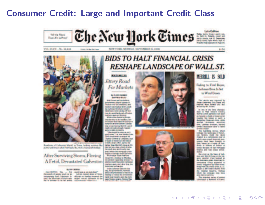### **Consumer Credit: Large and Important Credit Class**



**VOL. CLVII... No. 54, 434** 

NEW YORK, MONDAY, SEPTEMBER 15, 2008

# \$1.50



of this Harbor Sat Toron

Roadints of Galvarion Matel, in Time, believe services like power and watch after Demission Bo, were citatizated (femiliar-

After Surviving Storm, Fleeing A Fetid, Devastated Galveston

### **By LUX LIBRAL**

CALIFORNIA Tels. ... For much look or calculated." the councils of people work on an. Arthur counsel gives of Tenant resymming field converters in officials on Senday thousand the Liquid love locates and the north controlledge from converting to ... officials on candida finalment the ... I such times teachers and the name<br>Candi, the afformation of Hartmans ... analysis master residents in the ... page finalise promo. Factors War-<br>Ha

### **BIDS TO HALT FINANCIAL CRISIS** RESHAPE LANDSCAPE OF WALL ST.

### **MOVEAU AT USE Jittery Road For Markets**

### **S. H. PET WARDS MAYBAY BASK!**

that lines and by tubind protections place of a copies of Bulkish may but waskind, and neiber eds tracket down, posting Labinon Bristhericonnaild heatramp extraored of war. non of a worldwale will off whose nerico quo se stordas

what sales hand a phone ings decided in the ingriters, sellanchesed the Sade of America's arcris answeringer (under the a warranty Menti Lowk master digested and age of the Marie La Video di Marie

"The wood he was at vory creditores," Lat Anal Stephen, das that engineers presume he Charles Collective Company, seat or bank of Advancery die balanti in Elli a disposible, a price far light the Minit's black it fit. cap has been chase a chief of whatthe needs was worth upfix taxe your, better the mergage child hopat or darrings finally at firms. With major Jacob morkets

**Drawithe a Indulus on Munday** the connect requesting inventoring sportion could wise ankil it amended. market open, and, after this, the Marina autorale.

THI she Leftman (adk) on they ing, dia genutratean, norrial about the precedence is had set to frequent to hominate this advertising





### **MERRILL IS SOLD**

**Fading to Find Buyer**, Lahman Book, Is Set to Wind Down

This section was reported by lines awarene thre back and **AMPION BOAT RANGE COL MICE** or core to Mr. Sydney

In one at the tiest sharesed days in Wall Inner's house; Morror Lonch spread co tell it will on transfer to these of Americas for tragility and based to metri. a declaring financial client, while preise province secretary **Der, Lahman Broiture, Narrisel** (read testilate after a taled is find a horse.

The hardway reves, which technic die trade min of Airest. ten Terenino, morti che tacon chigasil in a samuraswa year in which incorporated farancial assosame have been firmers to those licenses are a massis of from trub it blam if drian in known because of bad mortgager finance and fuse comes private **HARMA** 

Re you a its tax if Lib. team and Warrell Burg or the hatgent, assumer tries now-saf as Be determine plate American St. senance time append to search, Gregorial by Grigos state. may true the crede creat A14 exulti a bit hince tibbre from the reducal feasible, walked which the company cing have series clayer as star when

The energie series of enemy comment a woment if trans.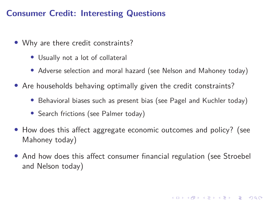### **Consumer Credit: Interesting Questions**

- Why are there credit constraints?
	- Usually not <sup>a</sup> lot of collateral
	- Adverse selection and moral hazard (see Nelson and Mahoney today)
- Are households behaving optimally <sup>g</sup>iven the credit constraints?
	- Behavioral biases such as present bias (see Pagel and Kuchler today)
	- Search frictions (see Palmer today)
- How does this affect aggregate economic outcomes and policy? (seeMahoney today)
- And how does this affect consumer financial regulation (see Stroebel and Nelson today)